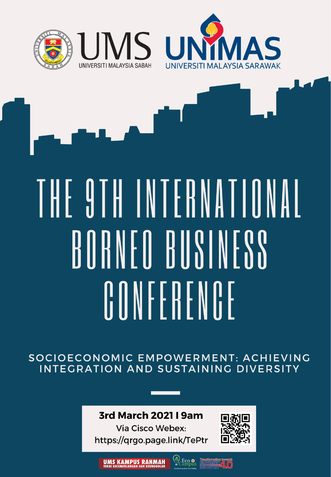

# THE 9TH INTERNATIONAL BORNEO BUSINESS OONFFRFNOF

SOCIOECONOMIC EMPOWERMENT: ACHIEVING INTEGRATION AND SUSTAINING DIVERSITY

#### **3rd March 2021 | 9am**

**Via Cisco Webex:** https://qrgo.page.link/TePtr



**Eco**<br>Campus **UMS KAMPUS RAHMAH**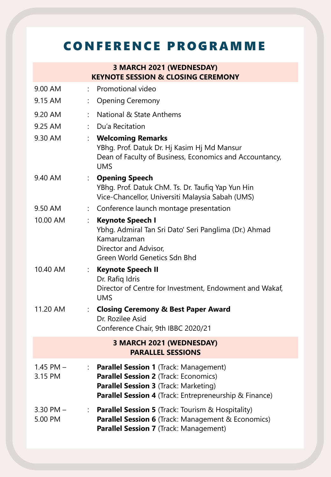### C O N F E R E N C E P R O G R A M M E

#### **3 MARCH 2021 (WEDNESDAY) KEYNOTE SESSION & CLOSING CEREMONY**

| 9.00 AM                                              |                      | : Promotional video                                                                                                                                                                                       |  |  |  |
|------------------------------------------------------|----------------------|-----------------------------------------------------------------------------------------------------------------------------------------------------------------------------------------------------------|--|--|--|
| 9.15 AM                                              |                      | <b>Opening Ceremony</b>                                                                                                                                                                                   |  |  |  |
| 9.20 AM                                              |                      | National & State Anthems                                                                                                                                                                                  |  |  |  |
| 9.25 AM                                              |                      | : Du'a Recitation                                                                                                                                                                                         |  |  |  |
| 9.30 AM                                              |                      | <b>Welcoming Remarks</b><br>YBhg. Prof. Datuk Dr. Hj Kasim Hj Md Mansur<br>Dean of Faculty of Business, Economics and Accountancy,<br><b>UMS</b>                                                          |  |  |  |
| 9.40 AM                                              |                      | <b>Opening Speech</b><br>YBhg. Prof. Datuk ChM. Ts. Dr. Taufiq Yap Yun Hin<br>Vice-Chancellor, Universiti Malaysia Sabah (UMS)                                                                            |  |  |  |
| 9.50 AM                                              |                      | Conference launch montage presentation                                                                                                                                                                    |  |  |  |
| 10.00 AM                                             | $\ddot{\phantom{a}}$ | Keynote Speech I<br>Ybhg. Admiral Tan Sri Dato' Seri Panglima (Dr.) Ahmad<br>Kamarulzaman<br>Director and Advisor,<br>Green World Genetics Sdn Bhd                                                        |  |  |  |
| 10.40 AM                                             |                      | : Keynote Speech II<br>Dr. Rafiq Idris<br>Director of Centre for Investment, Endowment and Wakaf,<br><b>UMS</b>                                                                                           |  |  |  |
| 11.20 AM                                             |                      | <b>Closing Ceremony &amp; Best Paper Award</b><br>Dr. Rozilee Asid<br>Conference Chair, 9th IBBC 2020/21                                                                                                  |  |  |  |
| 3 MARCH 2021 (WEDNESDAY)<br><b>PARALLEL SESSIONS</b> |                      |                                                                                                                                                                                                           |  |  |  |
| $1.45$ PM $-$<br>3.15 PM                             |                      | : Parallel Session 1 (Track: Management)<br><b>Parallel Session 2 (Track: Economics)</b><br><b>Parallel Session 3</b> (Track: Marketing)<br><b>Parallel Session 4</b> (Track: Entrepreneurship & Finance) |  |  |  |
| $3.30$ PM $-$<br>5.00 PM                             |                      | : Parallel Session 5 (Track: Tourism & Hospitality)<br><b>Parallel Session 6</b> (Track: Management & Economics)<br>Parallel Session 7 (Track: Management)                                                |  |  |  |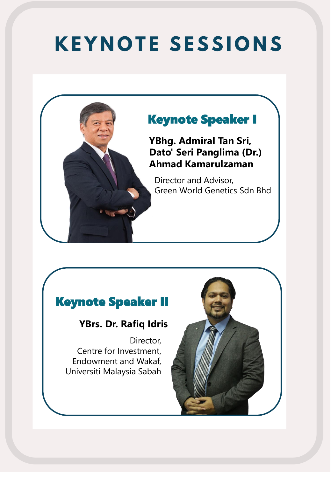### **KEYNOTE SESSIONS**



#### Keynote Speaker II

#### **YBrs. Dr. Rafiq Idris**

Director, Centre for Investment, Endowment and Wakaf, Universiti Malaysia Sabah

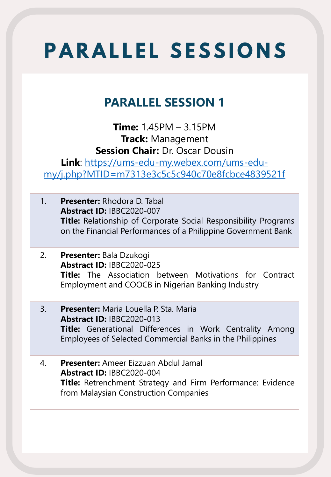### **PARALLEL SESSION 1**

**Time:** 1.45PM – 3.15PM **Track:** Management **Session Chair:** Dr. Oscar Dousin

**Link**: https://ums-edu-my.webex.com/ums-edumy/j.php?MTID=m7313e3c5c5c940c70e8fcbce4839521f

- 1. **Presenter:** Rhodora D. Tabal **Abstract ID:** IBBC2020-007 **Title:** Relationship of Corporate Social Responsibility Programs on the Financial Performances of a Philippine Government Bank
- 2. **Presenter:** Bala Dzukogi **Abstract ID:** IBBC2020-025 **Title:** The Association between Motivations for Contract Employment and COOCB in Nigerian Banking Industry
- 3. **Presenter:** Maria Louella P. Sta. Maria **Abstract ID:** IBBC2020-013 **Title:** Generational Differences in Work Centrality Among Employees of Selected Commercial Banks in the Philippines
- 4. **Presenter:** Ameer Eizzuan Abdul Jamal **Abstract ID:** IBBC2020-004 **Title:** Retrenchment Strategy and Firm Performance: Evidence from Malaysian Construction Companies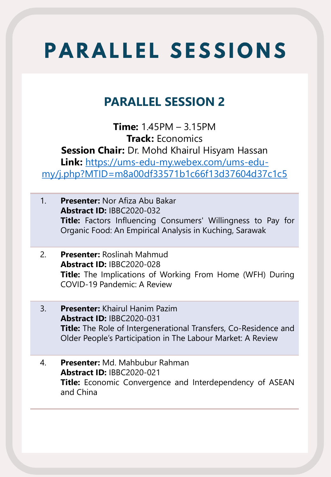#### **PARALLEL SESSION 2**

**Time:** 1.45PM – 3.15PM **Track:** Economics **Session Chair:** Dr. Mohd Khairul Hisyam Hassan **Link:** https://ums-edu-my.webex.com/ums-edumy/j.php?MTID=m8a00df33571b1c66f13d37604d37c1c5

- 1. **Presenter:** Nor Afiza Abu Bakar **Abstract ID:** IBBC2020-032 **Title:** Factors Influencing Consumers' Willingness to Pay for Organic Food: An Empirical Analysis in Kuching, Sarawak
- 2. **Presenter:** Roslinah Mahmud **Abstract ID:** IBBC2020-028 **Title:** The Implications of Working From Home (WFH) During COVID-19 Pandemic: A Review
- 3. **Presenter:** Khairul Hanim Pazim **Abstract ID:** IBBC2020-031 **Title:** The Role of Intergenerational Transfers, Co-Residence and Older People's Participation in The Labour Market: A Review
- 4. **Presenter:** Md. Mahbubur Rahman **Abstract ID:** IBBC2020-021 **Title:** Economic Convergence and Interdependency of ASEAN and China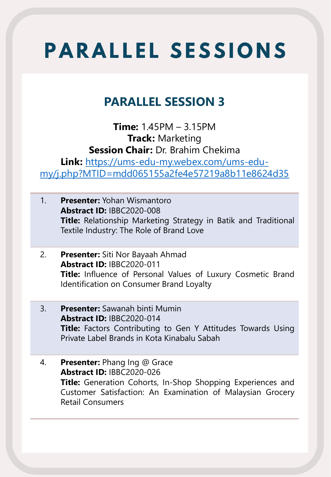#### **PARALLEL SESSION 3**

**Time:** 1.45PM – 3.15PM **Track:** Marketing **Session Chair:** Dr. Brahim Chekima **Link:** https://ums-edu-my.webex.com/ums-edumy/j.php?MTID=mdd065155a2fe4e57219a8b11e8624d35

- 1. **Presenter:** Yohan Wismantoro **Abstract ID:** IBBC2020-008 **Title:** Relationship Marketing Strategy in Batik and Traditional Textile Industry: The Role of Brand Love
- 2. **Presenter:** Siti Nor Bayaah Ahmad **Abstract ID:** IBBC2020-011 **Title:** Influence of Personal Values of Luxury Cosmetic Brand Identification on Consumer Brand Loyalty
- 3. **Presenter:** Sawanah binti Mumin **Abstract ID:** IBBC2020-014 **Title:** Factors Contributing to Gen Y Attitudes Towards Using Private Label Brands in Kota Kinabalu Sabah
- 4. **Presenter:** Phang Ing @ Grace **Abstract ID:** IBBC2020-026 **Title:** Generation Cohorts, In-Shop Shopping Experiences and Customer Satisfaction: An Examination of Malaysian Grocery Retail Consumers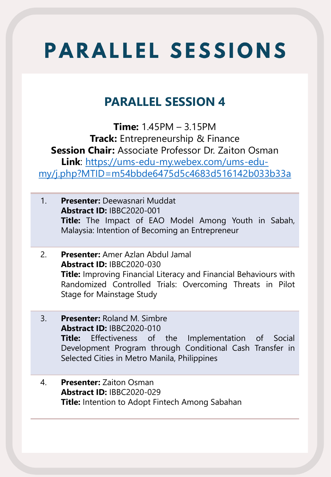#### **PARALLEL SESSION 4**

**Time:** 1.45PM – 3.15PM **Track:** Entrepreneurship & Finance **Session Chair:** Associate Professor Dr. Zaiton Osman **Link**: https://ums-edu-my.webex.com/ums-edumy/j.php?MTID=m54bbde6475d5c4683d516142b033b33a

- 1. **Presenter:** Deewasnari Muddat **Abstract ID:** IBBC2020-001 **Title:** The Impact of EAO Model Among Youth in Sabah, Malaysia: Intention of Becoming an Entrepreneur
- 2. **Presenter:** Amer Azlan Abdul Jamal **Abstract ID:** IBBC2020-030 **Title:** Improving Financial Literacy and Financial Behaviours with Randomized Controlled Trials: Overcoming Threats in Pilot Stage for Mainstage Study
- 3. **Presenter:** Roland M. Simbre **Abstract ID:** IBBC2020-010 **Title:** Effectiveness of the Implementation of Social Development Program through Conditional Cash Transfer in Selected Cities in Metro Manila, Philippines
- 4. **Presenter:** Zaiton Osman **Abstract ID:** IBBC2020-029 **Title:** Intention to Adopt Fintech Among Sabahan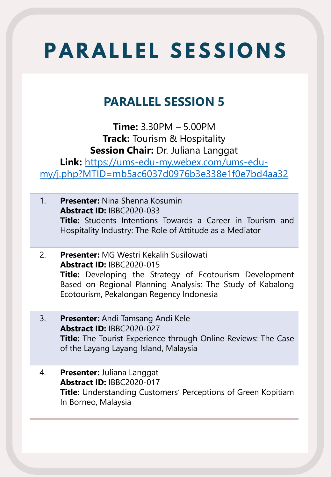### **PARALLEL SESSION 5**

**Time:** 3.30PM – 5.00PM **Track:** Tourism & Hospitality **Session Chair:** Dr. Juliana Langgat

**Link:** https://ums-edu-my.webex.com/ums-edumy/j.php?MTID=mb5ac6037d0976b3e338e1f0e7bd4aa32

- 1. **Presenter:** Nina Shenna Kosumin **Abstract ID:** IBBC2020-033 **Title:** Students Intentions Towards a Career in Tourism and Hospitality Industry: The Role of Attitude as a Mediator
- 2. **Presenter:** MG Westri Kekalih Susilowati **Abstract ID:** IBBC2020-015 **Title:** Developing the Strategy of Ecotourism Development Based on Regional Planning Analysis: The Study of Kabalong Ecotourism, Pekalongan Regency Indonesia
- 3. **Presenter:** Andi Tamsang Andi Kele **Abstract ID:** IBBC2020-027 **Title:** The Tourist Experience through Online Reviews: The Case of the Layang Layang Island, Malaysia
- 4. **Presenter:** Juliana Langgat **Abstract ID:** IBBC2020-017 **Title:** Understanding Customers' Perceptions of Green Kopitiam In Borneo, Malaysia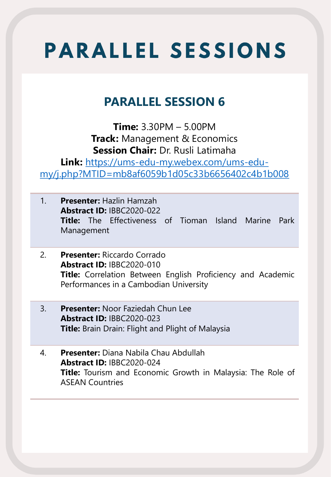#### **PARALLEL SESSION 6**

**Time:** 3.30PM – 5.00PM **Track:** Management & Economics **Session Chair:** Dr. Rusli Latimaha

**Link:** https://ums-edu-my.webex.com/ums-edumy/j.php?MTID=mb8af6059b1d05c33b6656402c4b1b008

- 1. **Presenter:** Hazlin Hamzah **Abstract ID:** IBBC2020-022 **Title:** The Effectiveness of Tioman Island Marine Park Management
- 2. **Presenter:** Riccardo Corrado **Abstract ID:** IBBC2020-010 **Title:** Correlation Between English Proficiency and Academic Performances in a Cambodian University
- 3. **Presenter:** Noor Faziedah Chun Lee **Abstract ID:** IBBC2020-023 **Title:** Brain Drain: Flight and Plight of Malaysia
- 4. **Presenter:** Diana Nabila Chau Abdullah **Abstract ID:** IBBC2020-024 **Title:** Tourism and Economic Growth in Malaysia: The Role of ASEAN Countries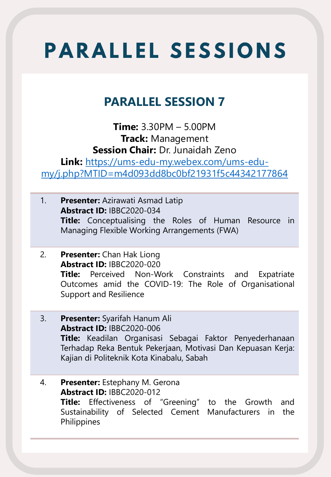#### **PARALLEL SESSION 7**

**Time:** 3.30PM – 5.00PM **Track:** Management **Session Chair:** Dr. Junaidah Zeno **Link:** https://ums-edu-my.webex.com/ums-edumy/j.php?MTID=m4d093dd8bc0bf21931f5c44342177864

- 1. **Presenter:** Azirawati Asmad Latip **Abstract ID:** IBBC2020-034 **Title:** Conceptualising the Roles of Human Resource in Managing Flexible Working Arrangements (FWA)
- 2. **Presenter:** Chan Hak Liong **Abstract ID:** IBBC2020-020 **Title:** Perceived Non-Work Constraints and Expatriate Outcomes amid the COVID-19: The Role of Organisational Support and Resilience
- 3. **Presenter:** Syarifah Hanum Ali **Abstract ID:** IBBC2020-006 **Title:** Keadilan Organisasi Sebagai Faktor Penyederhanaan Terhadap Reka Bentuk Pekerjaan, Motivasi Dan Kepuasan Kerja: Kajian di Politeknik Kota Kinabalu, Sabah
- 4. **Presenter:** Estephany M. Gerona **Abstract ID:** IBBC2020-012 **Title:** Effectiveness of "Greening" to the Growth and Sustainability of Selected Cement Manufacturers in the Philippines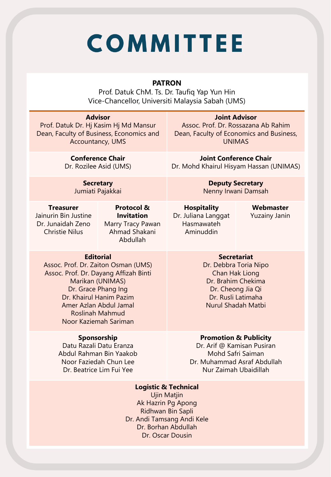# **COMMITTEE**

#### **PATRON**

Prof. Datuk ChM. Ts. Dr. Taufiq Yap Yun Hin Vice-Chancellor, Universiti Malaysia Sabah (UMS)

| <b>Advisor</b><br>Prof. Datuk Dr. Hj Kasim Hj Md Mansur<br>Dean, Faculty of Business, Economics and<br>Accountancy, UMS                                                                                                                             |                                                                                              | <b>Joint Advisor</b><br>Assoc. Prof. Dr. Rossazana Ab Rahim<br>Dean, Faculty of Economics and Business,<br><b>UNIMAS</b>                                    |                                   |  |  |
|-----------------------------------------------------------------------------------------------------------------------------------------------------------------------------------------------------------------------------------------------------|----------------------------------------------------------------------------------------------|-------------------------------------------------------------------------------------------------------------------------------------------------------------|-----------------------------------|--|--|
| <b>Conference Chair</b><br>Dr. Rozilee Asid (UMS)                                                                                                                                                                                                   |                                                                                              | <b>Joint Conference Chair</b><br>Dr. Mohd Khairul Hisyam Hassan (UNIMAS)                                                                                    |                                   |  |  |
| <b>Secretary</b><br>Jumiati Pajakkai                                                                                                                                                                                                                |                                                                                              | <b>Deputy Secretary</b><br>Nenny Irwani Damsah                                                                                                              |                                   |  |  |
| <b>Treasurer</b><br>Jainurin Bin Justine<br>Dr. Junaidah Zeno<br><b>Christie Nilus</b>                                                                                                                                                              | <b>Protocol &amp;</b><br><b>Invitation</b><br>Marry Tracy Pawan<br>Ahmad Shakani<br>Abdullah | <b>Hospitality</b><br>Dr. Juliana Langgat<br>Hasmawateh<br>Aminuddin                                                                                        | Webmaster<br><b>Yuzainy Janin</b> |  |  |
| <b>Editorial</b><br>Assoc. Prof. Dr. Zaiton Osman (UMS)<br>Assoc. Prof. Dr. Dayang Affizah Binti<br>Marikan (UNIMAS)<br>Dr. Grace Phang Ing<br>Dr. Khairul Hanim Pazim<br>Amer Azlan Abdul Jamal<br><b>Roslinah Mahmud</b><br>Noor Kaziemah Sariman |                                                                                              | <b>Secretariat</b><br>Dr. Debbra Toria Nipo<br>Chan Hak Liong<br>Dr. Brahim Chekima<br>Dr. Cheong Jia Qi<br>Dr. Rusli Latimaha<br><b>Nurul Shadah Matbi</b> |                                   |  |  |
| Sponsorship<br>Datu Razali Datu Eranza<br>Abdul Rahman Bin Yaakob<br>Noor Faziedah Chun Lee<br>Dr. Beatrice Lim Fui Yee                                                                                                                             |                                                                                              | <b>Promotion &amp; Publicity</b><br>Dr. Arif @ Kamisan Pusiran<br>Mohd Safri Saiman<br>Dr. Muhammad Asraf Abdullah<br>Nur Zaimah Ubaidillah                 |                                   |  |  |
| <b>Logistic &amp; Technical</b><br><b>Ujin Matjin</b><br>Ak Hazrin Pg Apong<br>Ridhwan Bin Sapli<br>Dr. Andi Tamsang Andi Kele<br>Dr. Borhan Abdullah<br>Dr. Oscar Dousin                                                                           |                                                                                              |                                                                                                                                                             |                                   |  |  |